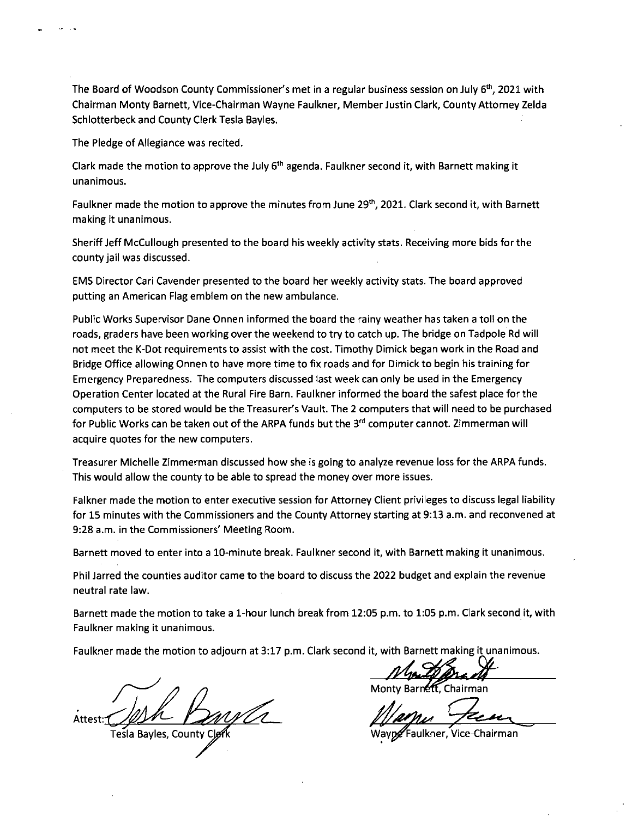The Board of Woodson County Commissioner's met in a regular business session on July 6<sup>th</sup>, 2021 with Chairman Monty Barnett, Vice-Chairman Wayne Faulkner, Member Justin Clark, County Attorney Zelda Schlotterbeck and County Clerk Tesla Bayles.

The Pledge of Allegiance was recited.

Clark made the motion to approve the July  $6<sup>th</sup>$  agenda. Faulkner second it, with Barnett making it unanimous.

Faulkner made the motion to approve the minutes from June 29<sup>th</sup>, 2021. Clark second it, with Barnett making it unanimous.

Sheriff Jeff McCullough presented to the board his weekly activity stats. Receiving more bids for the county jail was discussed.

EMS Director Cari Cavender presented to the board her weekly activity stats. The board approved putting an American Flag emblem on the new ambulance.

Public Works Supervisor Dane Onnen informed the board the rainy weather has taken a toll on the roads, graders have been working over the weekend to try to catch up. The bridge on Tadpole Rd will not meet the K-Dot requirements to assist with the cost. Timothy Dimick began work in the Road and Bridge Office allowing Onnen to have more time to fix roads and for Dimick to begin his training for Emergency Preparedness. The computers discussed last week can only be used in the Emergency Operation Center located at the Rural Fire Barn. Faulkner informed the board the safest place for the computers to be stored would be the Treasurer's Vault. The 2 computers that will need to be purchased for Public Works can be taken out of the ARPA funds but the 3<sup>rd</sup> computer cannot. Zimmerman will acquire quotes for the new computers.

Treasurer Michelle Zimmerman discussed how she is going to analyze revenue loss for the ARPA funds. This would allow the county to be able to spread the money over more issues.

Falkner made the motion to enter executive session for Attorney Client privileges to discuss legal liability for 15 minutes with the Commissioners and the County Attorney starting at 9:13 a.m. and reconvened at 9:28 a.m. in the Commissioners' Meeting Room.

Barnett moved to enter into a 10-minute break. Faulkner second it, with Barnett making it unanimous.

Phil Jarred the counties auditor came to the board to discuss the 2022 budget and explain the revenue neutral rate law.

Barnett made the motion to take a 1-hour lunch break from 12:05 p.m. to 1:05 p.m. Clark second it, with Faulkner making it unanimous.

Faulkner made the motion to adjourn at 3:17 p.m. Clark second it, with Barnett making it unanimous.

Attest: **Bayles, County C** 

Monty Barnett, Chairman

kner, Vice-Chairman